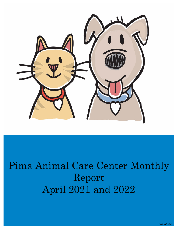

# Pima Animal Care Center Monthly Report April 2021 and 2022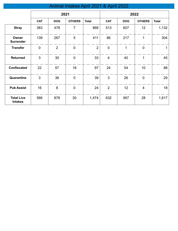# Animal Intakes April 2021 & April 2022

|                                     | 2021        |                |                  |                |                | 2022       |                         |              |
|-------------------------------------|-------------|----------------|------------------|----------------|----------------|------------|-------------------------|--------------|
|                                     | <b>CAT</b>  | <b>DOG</b>     | <b>OTHERS</b>    | <b>Total</b>   | <b>CAT</b>     | <b>DOG</b> | <b>OTHERS</b>           | <b>Total</b> |
| <b>Stray</b>                        | 383         | 478            | $\overline{7}$   | 868            | 513            | 607        | 12                      | 1,132        |
| Owner<br><b>Surrender</b>           | 139         | 267            | 5                | 411            | 86             | 217        | 1                       | 304          |
| <b>Transfer</b>                     | $\mathbf 0$ | $\overline{2}$ | $\mathbf 0$      | $\overline{2}$ | $\mathbf 0$    | 1          | $\mathbf 0$             | 1            |
| <b>Returned</b>                     | 3           | 30             | $\boldsymbol{0}$ | 33             | $\overline{4}$ | 40         | 1                       | 45           |
| <b>Confiscated</b>                  | 22          | 57             | 18               | 97             | 24             | 54         | 10                      | 88           |
| Quarantine                          | 3           | 36             | $\mathbf 0$      | 39             | 3              | 26         | $\mathbf 0$             | 29           |
| <b>Pub Assist</b>                   | 16          | 8              | $\mathbf 0$      | 24             | $\overline{2}$ | 12         | $\overline{\mathbf{4}}$ | 18           |
| <b>Total Live</b><br><b>Intakes</b> | 566         | 878            | 30               | 1,474          | 632            | 957        | 28                      | 1,617        |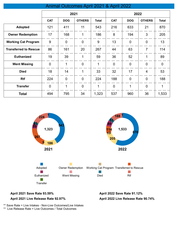## Animal Outcomes April 2021 & April 2022

|                              | 2021           |             |                | 2022         |                |                |                |                |
|------------------------------|----------------|-------------|----------------|--------------|----------------|----------------|----------------|----------------|
|                              | <b>CAT</b>     | <b>DOG</b>  | <b>OTHERS</b>  | <b>Total</b> | <b>CAT</b>     | <b>DOG</b>     | <b>OTHERS</b>  | <b>Total</b>   |
| <b>Adopted</b>               | 121            | 411         | 11             | 543          | 216            | 633            | 21             | 870            |
| <b>Owner Redemption</b>      | 17             | 168         | 1              | 186          | 8              | 194            | 3              | 205            |
| <b>Working Cat Program</b>   | 9              | 0           | $\overline{0}$ | 9            | 13             | $\mathbf 0$    | $\mathbf 0$    | 13             |
| <b>Transferred to Rescue</b> | 86             | 161         | 20             | 267          | 44             | 63             | $\overline{7}$ | 114            |
| <b>Euthanized</b>            | 19             | 39          | 1              | 59           | 36             | 52             | 1              | 89             |
| <b>Went Missing</b>          | $\overline{0}$ | $\mathbf 1$ | $\overline{0}$ | 1            | $\overline{0}$ | $\overline{0}$ | $\mathbf 0$    | $\overline{0}$ |
| <b>Died</b>                  | 18             | 14          | 1              | 33           | 32             | 17             | $\overline{4}$ | 53             |
| <b>Rtf</b>                   | 224            | $\mathbf 0$ | $\overline{0}$ | 224          | 188            | $\mathbf 0$    | $\overline{0}$ | 188            |
| <b>Transfer</b>              | $\overline{0}$ | 1           | $\overline{0}$ | 1            | $\overline{0}$ | 1              | $\mathbf 0$    | 1              |
| <b>Total</b>                 | 494            | 795         | 34             | 1,323        | 537            | 960            | 36             | 1,533          |



#### **April 2021 Save Rate 93.59% April 2022 Save Rate 91.12%**

#### **April 2021 Live Release Rate 92.97%**

**April 2022 Live Release Rate 90.74%**

\*\* Save Rate = Live Intakes - Non-Live Outcomes/Live Intakes

\*\* Live Release Rate = Live Outcomes / Total Outcomes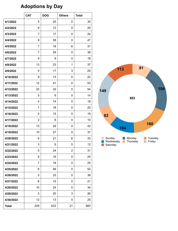# **Adoptions by Day**

|              | <b>CAT</b>       | <b>DOG</b> | <b>Others</b>  | <b>Total</b> |
|--------------|------------------|------------|----------------|--------------|
| 4/1/2022     | 5                | 25         | 0              | 30           |
| 4/2/2022     | 8                | 12         | 0              | 20           |
| 4/3/2022     | $\overline{7}$   | 17         | 0              | 24           |
| 4/4/2022     | 9                | 38         | 0              | 47           |
| 4/5/2022     | $\overline{7}$   | 18         | 6              | 31           |
| 4/6/2022     | $\overline{7}$   | 29         | 0              | 36           |
| 4/7/2022     | 9                | 9          | 0              | 18           |
| 4/8/2022     | 13               | 23         | 1              | 37           |
| 4/9/2022     | 5                | 17         | 3              | 25           |
| 4/10/2022    | 9                | 13         | 0              | 22           |
| 4/11/2022    | 12               | 41         | 0              | 53           |
| 4/12/2022    | 22               | 32         | 0              | 54           |
| 4/13/2022    | 5                | 9          | 0              | 14           |
| 4/14/2022    | 4                | 14         | 0              | 18           |
| 4/15/2022    | $\overline{7}$   | 18         | 0              | 25           |
| 4/16/2022    | 4                | 15         | 0              | 19           |
| 4/17/2022    | $\boldsymbol{2}$ | 8          | 0              | 10           |
| 4/18/2022    | 13               | 29         | 0              | 42           |
| 4/19/2022    | 10               | 27         | 0              | 37           |
| 4/20/2022    | 6                | 21         | 6              | 33           |
| 4/21/2022    | 3                | 9          | $\mathbf 0$    | 12           |
| 4/22/2022    | 5                | 24         | $\overline{2}$ | 31           |
| 4/23/2022    | 8                | 16         | 0              | 24           |
| 4/24/2022    | 7                | 18         | 0              | 25           |
| 4/25/2022    | 6                | 46         | 0              | 52           |
| 4/26/2022    | 5                | 33         | 0              | 38           |
| 4/27/2022    | 6                | 15         | 0              | 21           |
| 4/28/2022    | 10               | 24         | 0              | 34           |
| 4/29/2022    | 3                | 20         | 3              | 26           |
| 4/30/2022    | 12               | 13         | 0              | 25           |
| <b>Total</b> | 229              | 633        | 21             | 883          |

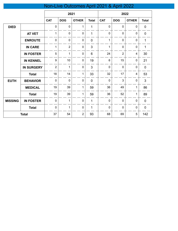# Non-Live Outcomes April 2021 & April 2022

|                |                   | 2021             |                |                | 2022           |                |                |                          |              |
|----------------|-------------------|------------------|----------------|----------------|----------------|----------------|----------------|--------------------------|--------------|
|                |                   | <b>CAT</b>       | <b>DOG</b>     | <b>OTHER</b>   | <b>Total</b>   | <b>CAT</b>     | <b>DOG</b>     | <b>OTHER</b>             | <b>Total</b> |
| <b>DIED</b>    |                   | $\pmb{0}$        | $\mathbf 0$    | 1              | $\mathbf{1}$   | $\mathbf 0$    | $\mathbf 0$    | $\mathbf 0$              | $\pmb{0}$    |
|                | <b>AT VET</b>     | $\mathbf 1$      | $\mathbf 0$    | $\mathbf 0$    | 1              | $\mathbf 0$    | $\mathbf 0$    | $\pmb{0}$                | $\pmb{0}$    |
|                | <b>ENROUTE</b>    | $\mathbf 0$      | $\mathbf 0$    | $\mathbf 0$    | $\overline{0}$ | $\mathbf{1}$   | $\mathbf 0$    | $\mathbf 0$              | $\mathbf 1$  |
|                | <b>IN CARE</b>    | 1                | $\overline{2}$ | $\pmb{0}$      | $\mathbf{3}$   | 1              | $\mathbf 0$    | $\pmb{0}$                | $\mathbf{1}$ |
|                | <b>IN FOSTER</b>  | 5                | $\mathbf{1}$   | $\pmb{0}$      | $6\phantom{1}$ | 24             | $\overline{2}$ | $\overline{\mathbf{4}}$  | 30           |
|                | <b>IN KENNEL</b>  | $\boldsymbol{9}$ | 10             | $\pmb{0}$      | 19             | 6              | 15             | $\pmb{0}$                | 21           |
|                | <b>IN SURGERY</b> | $\overline{2}$   | $\mathbf{1}$   | $\pmb{0}$      | $\mathfrak{S}$ | $\overline{0}$ | $\mathbf 0$    | $\mathbf 0$              | $\pmb{0}$    |
|                | <b>Total</b>      | 18               | 14             | $\mathbf{1}$   | 33             | 32             | 17             | $\overline{\mathcal{A}}$ | 53           |
| <b>EUTH</b>    | <b>BEHAVIOR</b>   | $\mathbf 0$      | $\mathbf 0$    | $\mathbf 0$    | $\mathbf 0$    | $\mathbf 0$    | 3              | $\mathbf 0$              | 3            |
|                | <b>MEDICAL</b>    | 19               | 39             | 1              | 59             | 36             | 49             | 1                        | 86           |
|                | <b>Total</b>      | 19               | 39             | $\mathbf{1}$   | 59             | 36             | 52             | 1                        | 89           |
| <b>MISSING</b> | <b>IN FOSTER</b>  | $\pmb{0}$        | $\mathbf{1}$   | $\pmb{0}$      | $\mathbf{1}$   | $\mathbf 0$    | $\mathbf 0$    | $\pmb{0}$                | $\pmb{0}$    |
|                | <b>Total</b>      | $\mathbf 0$      | 1              | $\pmb{0}$      | 1              | $\mathbf 0$    | $\mathbf 0$    | $\mathbf 0$              | $\pmb{0}$    |
|                | <b>Total</b>      | 37               | 54             | $\overline{2}$ | 93             | 68             | 69             | 5                        | 142          |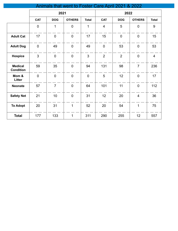|                                    | Animals that went to Foster Care April 2021 & 2022 |                |                |                |                |                |                |                |  |
|------------------------------------|----------------------------------------------------|----------------|----------------|----------------|----------------|----------------|----------------|----------------|--|
|                                    |                                                    | 2021           |                |                |                | 2022           |                |                |  |
|                                    | <b>CAT</b>                                         | <b>DOG</b>     | <b>OTHERS</b>  | <b>Total</b>   | <b>CAT</b>     | <b>DOG</b>     | <b>OTHERS</b>  | <b>Total</b>   |  |
|                                    | $\mathbf 0$                                        | 1              | $\overline{0}$ | 1              | $\overline{4}$ | 5              | $\overline{0}$ | 9              |  |
| <b>Adult Cat</b>                   | 17                                                 | $\overline{0}$ | $\overline{0}$ | 17             | 15             | $\overline{0}$ | $\overline{0}$ | 15             |  |
| <b>Adult Dog</b>                   | 0                                                  | 49             | $\mathbf 0$    | 49             | $\mathbf 0$    | 53             | $\mathbf 0$    | 53             |  |
| <b>Hospice</b>                     | 3                                                  | $\mathbf 0$    | $\mathbf 0$    | 3              | 2              | 2              | $\overline{0}$ | $\overline{4}$ |  |
| <b>Medical</b><br><b>Condition</b> | 59                                                 | 35             | $\overline{0}$ | 94             | 131            | 98             | $\overline{7}$ | 236            |  |
| Mom &<br>Litter                    | $\overline{0}$                                     | $\overline{0}$ | $\mathbf 0$    | $\overline{0}$ | 5              | 12             | $\overline{0}$ | 17             |  |
| <b>Neonate</b>                     | 57                                                 | $\overline{7}$ | $\overline{0}$ | 64             | 101            | 11             | $\overline{0}$ | 112            |  |
| <b>Safety Net</b>                  | 21                                                 | 10             | $\mathbf 0$    | 31             | 12             | 20             | $\overline{4}$ | 36             |  |
| <b>To Adopt</b>                    | 20                                                 | 31             | $\mathbf{1}$   | 52             | 20             | 54             | $\mathbf{1}$   | 75             |  |
| <b>Total</b>                       | 177                                                | 133            | $\mathbf{1}$   | 311            | 290            | 255            | 12             | 557            |  |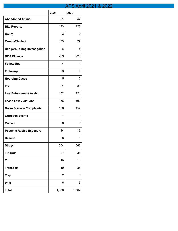# APS April 2021 & 2022

|                                     | 2021           | 2022  |
|-------------------------------------|----------------|-------|
| <b>Abandoned Animal</b>             | 51             | 47    |
| <b>Bite Reports</b>                 | 143            | 123   |
| <b>Court</b>                        | 3              | 2     |
| <b>Cruelty/Neglect</b>              | 103            | 79    |
| <b>Dangerous Dog Investigation</b>  | 6              | 5     |
| <b>DOA Pickups</b>                  | 259            | 226   |
| <b>Follow Ups</b>                   | 4              | 1     |
| <b>Followup</b>                     | 3              | 5     |
| <b>Hoarding Cases</b>               | 5              | 0     |
| Inv                                 | 21             | 33    |
| <b>Law Enforcement Assist</b>       | 102            | 124   |
| <b>Leash Law Violations</b>         | 156            | 190   |
| <b>Noise &amp; Waste Complaints</b> | 156            | 154   |
| <b>Outreach Events</b>              | 1              | 1     |
| Owned                               | 6              | 3     |
| <b>Possbile Rabies Exposure</b>     | 24             | 13    |
| <b>Rescue</b>                       | 6              | 5     |
| <b>Strays</b>                       | 554            | 563   |
| <b>Tie Outs</b>                     | 27             | 36    |
| <b>Tnr</b>                          | 19             | 14    |
| <b>Transport</b>                    | 19             | 35    |
| <b>Trap</b>                         | $\overline{2}$ | 0     |
| <b>Wild</b>                         | 6              | 3     |
| <b>Total</b>                        | 1,676          | 1,662 |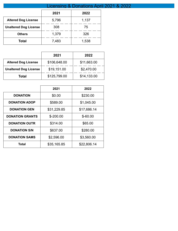|                              | Licensing & Donations April 2021 & 2022 |       |  |  |  |
|------------------------------|-----------------------------------------|-------|--|--|--|
|                              | 2021                                    | 2022  |  |  |  |
| <b>Altered Dog License</b>   | 5,796                                   | 1,137 |  |  |  |
| <b>Unaltered Dog License</b> | 308                                     | 75    |  |  |  |
| <b>Others</b>                | 1,379                                   | 326   |  |  |  |
| <b>Total</b>                 | 7,483                                   | 1,538 |  |  |  |

|                              | 2021         | 2022        |
|------------------------------|--------------|-------------|
| <b>Altered Dog License</b>   | \$106,648.00 | \$11,663.00 |
| <b>Unaltered Dog License</b> | \$19,151.00  | \$2,470.00  |
| Total                        | \$125,799.00 | \$14,133.00 |

|                        | 2021        | 2022        |
|------------------------|-------------|-------------|
| <b>DONATION</b>        | \$0.00      | \$230.00    |
| <b>DONATION ADOP</b>   | \$589.00    | \$1,045.00  |
| <b>DONATION GEN</b>    | \$31,229.85 | \$17,686.14 |
| <b>DONATION GRANTS</b> | $$-200.00$  | $$ -60.00$  |
| <b>DONATION OUTR</b>   | \$314.00    | \$65.00     |
| <b>DONATION S/N</b>    | \$637.00    | \$280.00    |
| <b>DONATION SAMS</b>   | \$2,596.00  | \$3,560.00  |
| Total                  | \$35,165.85 | \$22,806.14 |